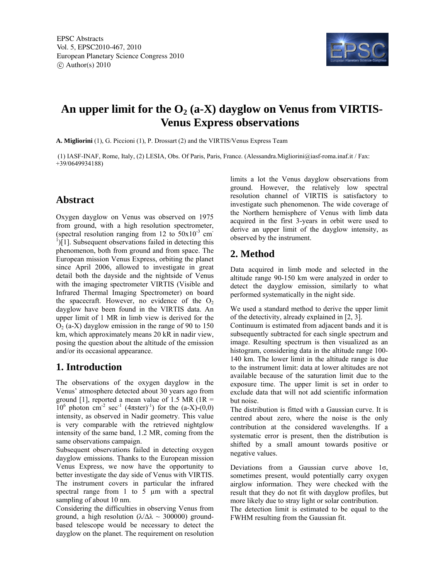

# An upper limit for the O<sub>2</sub> (a-X) dayglow on Venus from VIRTIS-**Venus Express observations**

**A. Migliorini** (1), G. Piccioni (1), P. Drossart (2) and the VIRTIS/Venus Express Team

 (1) IASF-INAF, Rome, Italy, (2) LESIA, Obs. Of Paris, Paris, France. (Alessandra.Migliorini@iasf-roma.inaf.it / Fax: +39/0649934188)

#### **Abstract**

Oxygen dayglow on Venus was observed on 1975 from ground, with a high resolution spectrometer, (spectral resolution ranging from 12 to  $50x10^{-3}$  cm  $\int$ [1]. Subsequent observations failed in detecting this phenomenon, both from ground and from space. The European mission Venus Express, orbiting the planet since April 2006, allowed to investigate in great detail both the dayside and the nightside of Venus with the imaging spectrometer VIRTIS (Visible and Infrared Thermal Imaging Spectrometer) on board the spacecraft. However, no evidence of the  $O<sub>2</sub>$ dayglow have been found in the VIRTIS data. An upper limit of 1 MR in limb view is derived for the  $O<sub>2</sub>$  (a-X) dayglow emission in the range of 90 to 150 km, which approximately means 20 kR in nadir view, posing the question about the altitude of the emission and/or its occasional appearance.

#### **1. Introduction**

The observations of the oxygen dayglow in the Venus' atmosphere detected about 30 years ago from ground [1], reported a mean value of 1.5 MR (1R  $=$  $10^6$  photon cm<sup>-2</sup> sec<sup>-1</sup> (4πster)<sup>-1</sup>) for the (a-X)-(0,0) intensity, as observed in Nadir geometry. This value is very comparable with the retrieved nightglow intensity of the same band, 1.2 MR, coming from the same observations campaign.

Subsequent observations failed in detecting oxygen dayglow emissions. Thanks to the European mission Venus Express, we now have the opportunity to better investigate the day side of Venus with VIRTIS. The instrument covers in particular the infrared spectral range from 1 to 5 µm with a spectral sampling of about 10 nm.

Considering the difficulties in observing Venus from ground, a high resolution ( $\lambda/\Delta\lambda \sim 300000$ ) groundbased telescope would be necessary to detect the dayglow on the planet. The requirement on resolution limits a lot the Venus dayglow observations from ground. However, the relatively low spectral resolution channel of VIRTIS is satisfactory to investigate such phenomenon. The wide coverage of the Northern hemisphere of Venus with limb data acquired in the first 3-years in orbit were used to derive an upper limit of the dayglow intensity, as observed by the instrument.

### **2. Method**

Data acquired in limb mode and selected in the altitude range 90-150 km were analyzed in order to detect the dayglow emission, similarly to what performed systematically in the night side.

We used a standard method to derive the upper limit of the detectivity, already explained in [2, 3].

Continuum is estimated from adjacent bands and it is subsequently subtracted for each single spectrum and image. Resulting spectrum is then visualized as an histogram, considering data in the altitude range 100- 140 km. The lower limit in the altitude range is due to the instrument limit: data at lower altitudes are not available because of the saturation limit due to the exposure time. The upper limit is set in order to exclude data that will not add scientific information but noise.

The distribution is fitted with a Gaussian curve. It is centred about zero, where the noise is the only contribution at the considered wavelengths. If a systematic error is present, then the distribution is shifted by a small amount towards positive or negative values.

Deviations from a Gaussian curve above  $1\sigma$ , sometimes present, would potentially carry oxygen airglow information. They were checked with the result that they do not fit with dayglow profiles, but more likely due to stray light or solar contribution.

The detection limit is estimated to be equal to the FWHM resulting from the Gaussian fit.